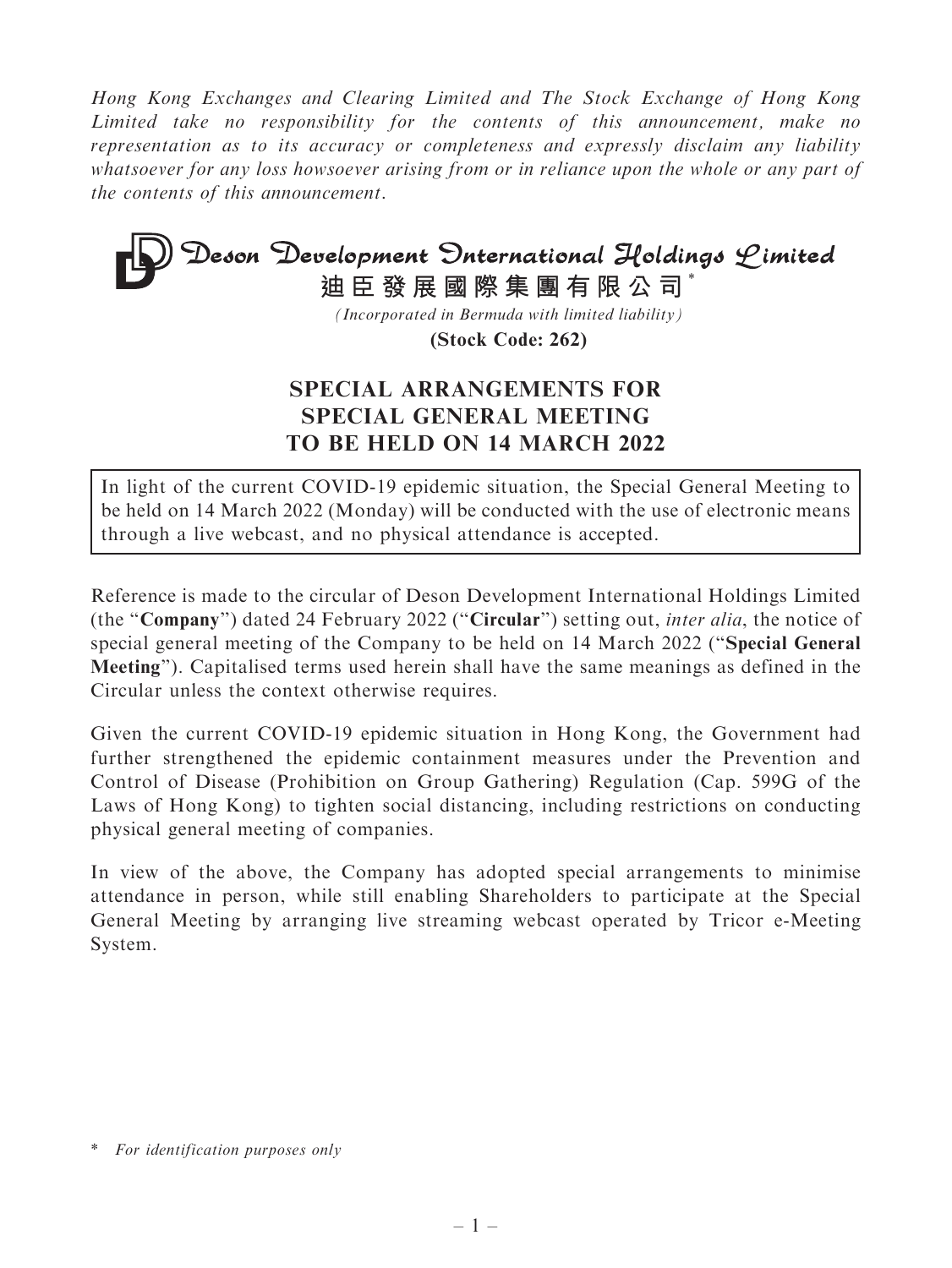Hong Kong Exchanges and Clearing Limited and The Stock Exchange of Hong Kong Limited take no responsibility for the contents of this announcement, make no representation as to its accuracy or completeness and expressly disclaim any liability whatsoever for any loss howsoever arising from or in reliance upon the whole or any part of the contents of this announcement.

# Deson Development Onternational Holdings Limited **迪臣發展國際集團有限公司** \*

*(Incorporated in Bermuda with limited liability)*

**(Stock Code: 262)**

# SPECIAL ARRANGEMENTS FOR SPECIAL GENERAL MEETING TO BE HELD ON 14 MARCH 2022

In light of the current COVID-19 epidemic situation, the Special General Meeting to be held on 14 March 2022 (Monday) will be conducted with the use of electronic means through a live webcast, and no physical attendance is accepted.

Reference is made to the circular of Deson Development International Holdings Limited (the ''Company'') dated 24 February 2022 (''Circular'') setting out, inter alia, the notice of special general meeting of the Company to be held on 14 March 2022 (''Special General Meeting''). Capitalised terms used herein shall have the same meanings as defined in the Circular unless the context otherwise requires.

Given the current COVID-19 epidemic situation in Hong Kong, the Government had further strengthened the epidemic containment measures under the Prevention and Control of Disease (Prohibition on Group Gathering) Regulation (Cap. 599G of the Laws of Hong Kong) to tighten social distancing, including restrictions on conducting physical general meeting of companies.

In view of the above, the Company has adopted special arrangements to minimise attendance in person, while still enabling Shareholders to participate at the Special General Meeting by arranging live streaming webcast operated by Tricor e-Meeting System.

<sup>\*</sup> For identification purposes only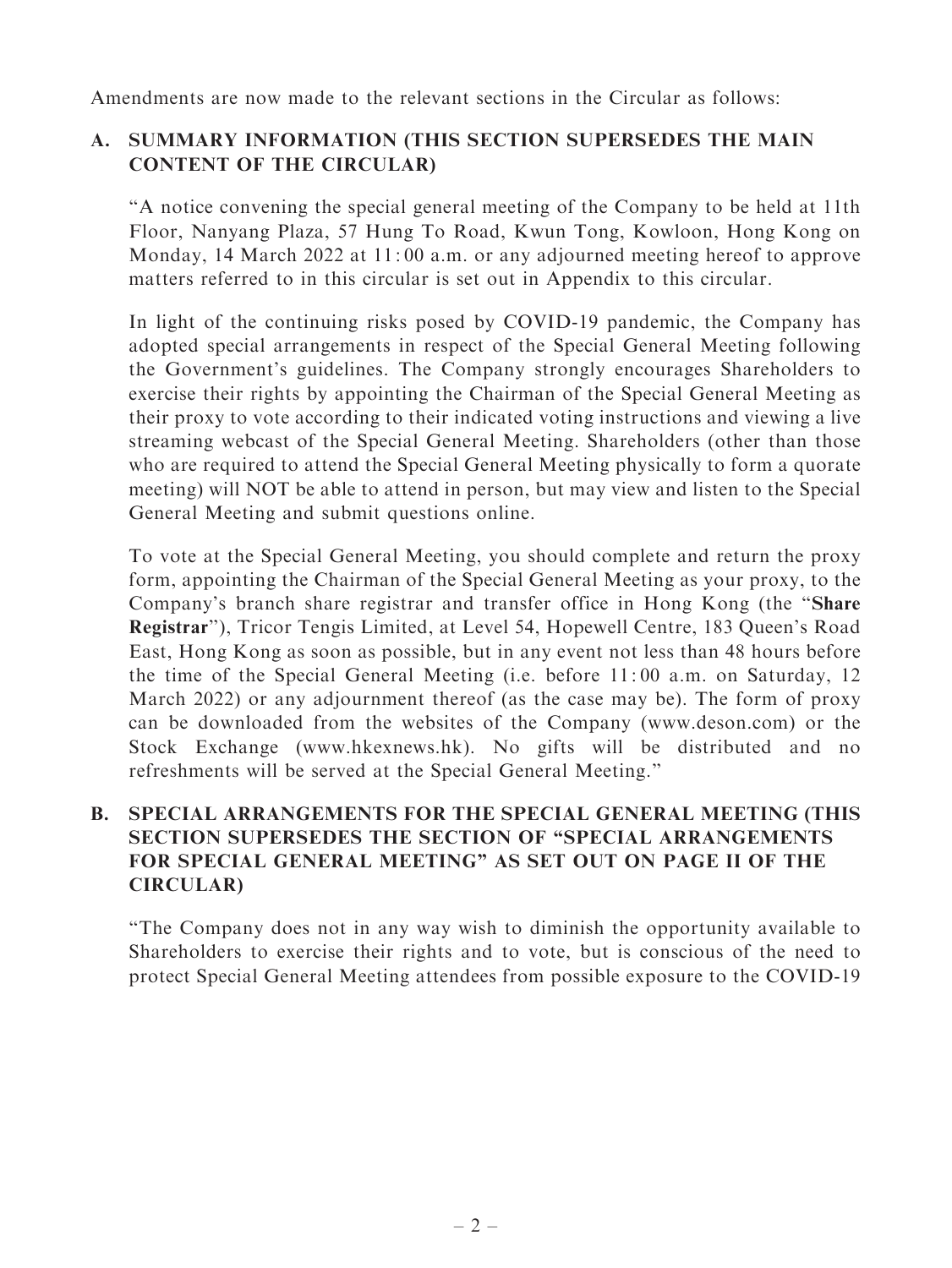Amendments are now made to the relevant sections in the Circular as follows:

# A. SUMMARY INFORMATION (THIS SECTION SUPERSEDES THE MAIN CONTENT OF THE CIRCULAR)

''A notice convening the special general meeting of the Company to be held at 11th Floor, Nanyang Plaza, 57 Hung To Road, Kwun Tong, Kowloon, Hong Kong on Monday, 14 March 2022 at 11:00 a.m. or any adjourned meeting hereof to approve matters referred to in this circular is set out in Appendix to this circular.

In light of the continuing risks posed by COVID-19 pandemic, the Company has adopted special arrangements in respect of the Special General Meeting following the Government's guidelines. The Company strongly encourages Shareholders to exercise their rights by appointing the Chairman of the Special General Meeting as their proxy to vote according to their indicated voting instructions and viewing a live streaming webcast of the Special General Meeting. Shareholders (other than those who are required to attend the Special General Meeting physically to form a quorate meeting) will NOT be able to attend in person, but may view and listen to the Special General Meeting and submit questions online.

To vote at the Special General Meeting, you should complete and return the proxy form, appointing the Chairman of the Special General Meeting as your proxy, to the Company's branch share registrar and transfer office in Hong Kong (the ''Share Registrar''), Tricor Tengis Limited, at Level 54, Hopewell Centre, 183 Queen's Road East, Hong Kong as soon as possible, but in any event not less than 48 hours before the time of the Special General Meeting (i.e. before 11: 00 a.m. on Saturday, 12 March 2022) or any adjournment thereof (as the case may be). The form of proxy can be downloaded from the websites of the Company (www.deson.com) or the Stock Exchange (www.hkexnews.hk). No gifts will be distributed and no refreshments will be served at the Special General Meeting.''

# B. SPECIAL ARRANGEMENTS FOR THE SPECIAL GENERAL MEETING (THIS SECTION SUPERSEDES THE SECTION OF "SPECIAL ARRANGEMENTS FOR SPECIAL GENERAL MEETING'' AS SET OUT ON PAGE II OF THE CIRCULAR)

''The Company does not in any way wish to diminish the opportunity available to Shareholders to exercise their rights and to vote, but is conscious of the need to protect Special General Meeting attendees from possible exposure to the COVID-19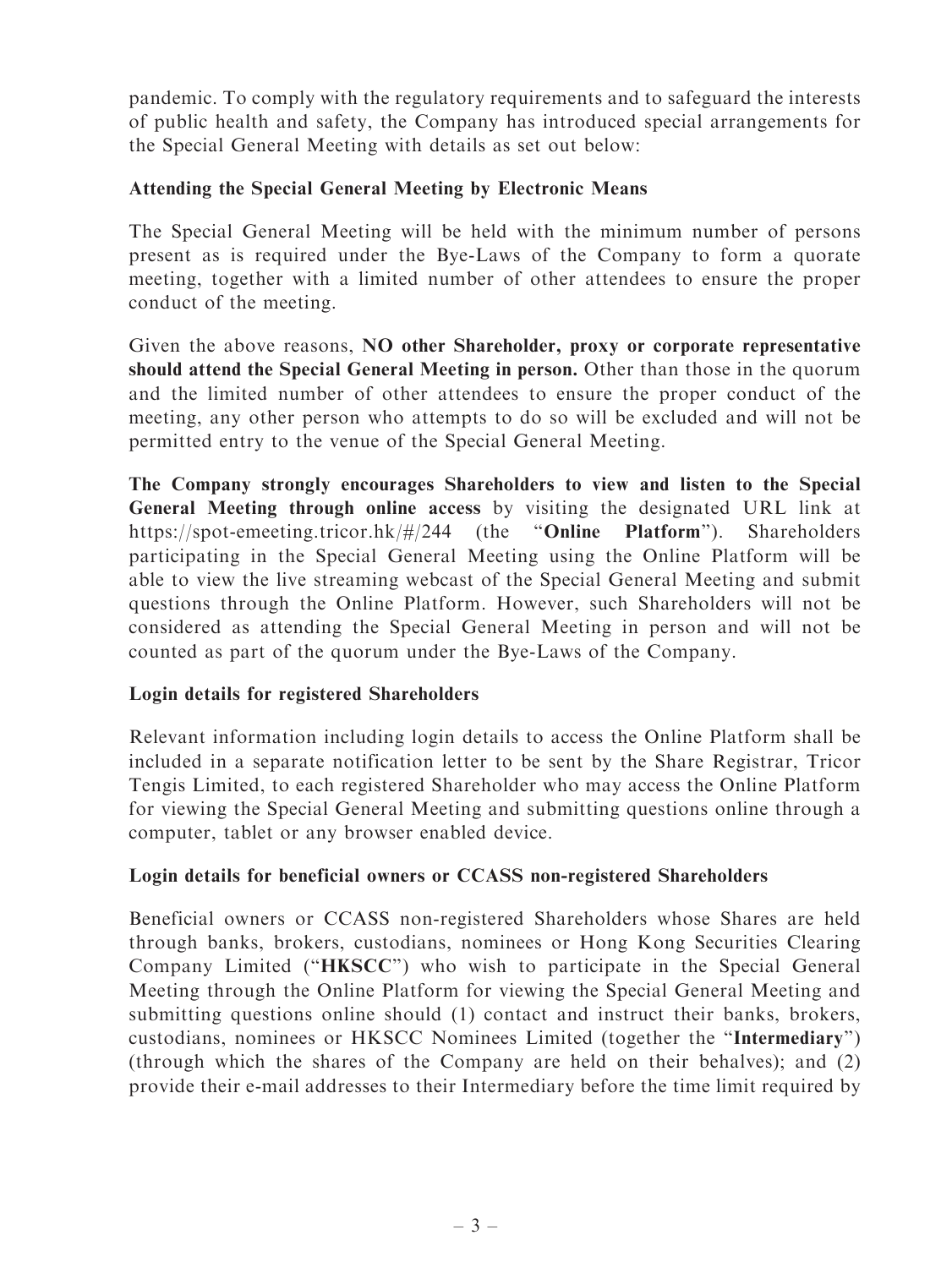pandemic. To comply with the regulatory requirements and to safeguard the interests of public health and safety, the Company has introduced special arrangements for the Special General Meeting with details as set out below:

# Attending the Special General Meeting by Electronic Means

The Special General Meeting will be held with the minimum number of persons present as is required under the Bye-Laws of the Company to form a quorate meeting, together with a limited number of other attendees to ensure the proper conduct of the meeting.

Given the above reasons, NO other Shareholder, proxy or corporate representative should attend the Special General Meeting in person. Other than those in the quorum and the limited number of other attendees to ensure the proper conduct of the meeting, any other person who attempts to do so will be excluded and will not be permitted entry to the venue of the Special General Meeting.

The Company strongly encourages Shareholders to view and listen to the Special General Meeting through online access by visiting the designated URL link at https://spot-emeeting.tricor.hk/#/244 (the ''Online Platform''). Shareholders participating in the Special General Meeting using the Online Platform will be able to view the live streaming webcast of the Special General Meeting and submit questions through the Online Platform. However, such Shareholders will not be considered as attending the Special General Meeting in person and will not be counted as part of the quorum under the Bye-Laws of the Company.

#### Login details for registered Shareholders

Relevant information including login details to access the Online Platform shall be included in a separate notification letter to be sent by the Share Registrar, Tricor Tengis Limited, to each registered Shareholder who may access the Online Platform for viewing the Special General Meeting and submitting questions online through a computer, tablet or any browser enabled device.

#### Login details for beneficial owners or CCASS non-registered Shareholders

Beneficial owners or CCASS non-registered Shareholders whose Shares are held through banks, brokers, custodians, nominees or Hong Kong Securities Clearing Company Limited ("HKSCC") who wish to participate in the Special General Meeting through the Online Platform for viewing the Special General Meeting and submitting questions online should (1) contact and instruct their banks, brokers, custodians, nominees or HKSCC Nominees Limited (together the ''Intermediary'') (through which the shares of the Company are held on their behalves); and (2) provide their e-mail addresses to their Intermediary before the time limit required by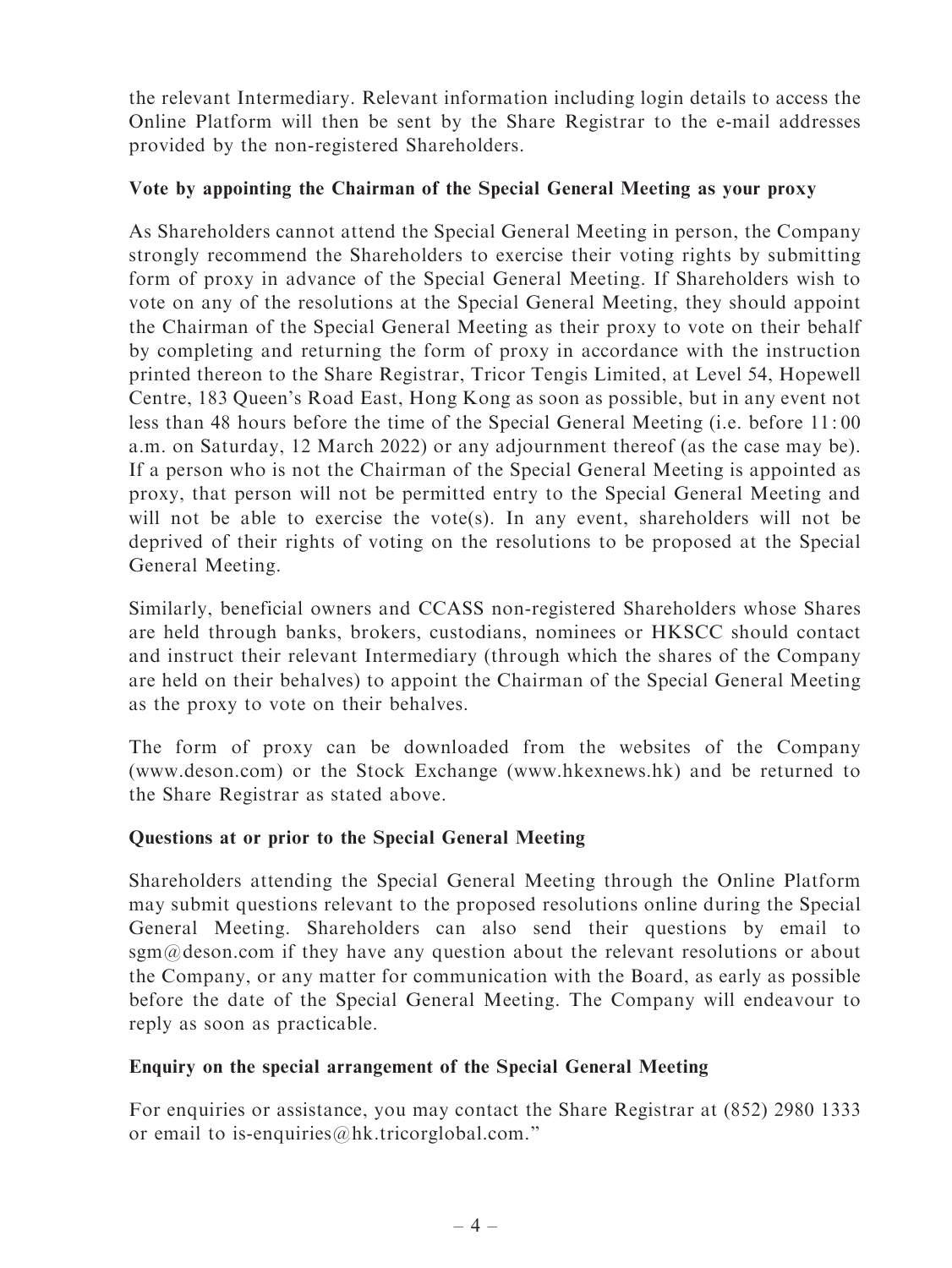the relevant Intermediary. Relevant information including login details to access the Online Platform will then be sent by the Share Registrar to the e-mail addresses provided by the non-registered Shareholders.

# Vote by appointing the Chairman of the Special General Meeting as your proxy

As Shareholders cannot attend the Special General Meeting in person, the Company strongly recommend the Shareholders to exercise their voting rights by submitting form of proxy in advance of the Special General Meeting. If Shareholders wish to vote on any of the resolutions at the Special General Meeting, they should appoint the Chairman of the Special General Meeting as their proxy to vote on their behalf by completing and returning the form of proxy in accordance with the instruction printed thereon to the Share Registrar, Tricor Tengis Limited, at Level 54, Hopewell Centre, 183 Queen's Road East, Hong Kong as soon as possible, but in any event not less than 48 hours before the time of the Special General Meeting (i.e. before 11: 00 a.m. on Saturday, 12 March 2022) or any adjournment thereof (as the case may be). If a person who is not the Chairman of the Special General Meeting is appointed as proxy, that person will not be permitted entry to the Special General Meeting and will not be able to exercise the vote(s). In any event, shareholders will not be deprived of their rights of voting on the resolutions to be proposed at the Special General Meeting.

Similarly, beneficial owners and CCASS non-registered Shareholders whose Shares are held through banks, brokers, custodians, nominees or HKSCC should contact and instruct their relevant Intermediary (through which the shares of the Company are held on their behalves) to appoint the Chairman of the Special General Meeting as the proxy to vote on their behalves.

The form of proxy can be downloaded from the websites of the Company (www.deson.com) or the Stock Exchange (www.hkexnews.hk) and be returned to the Share Registrar as stated above.

# Questions at or prior to the Special General Meeting

Shareholders attending the Special General Meeting through the Online Platform may submit questions relevant to the proposed resolutions online during the Special General Meeting. Shareholders can also send their questions by email to sgm@deson.com if they have any question about the relevant resolutions or about the Company, or any matter for communication with the Board, as early as possible before the date of the Special General Meeting. The Company will endeavour to reply as soon as practicable.

#### Enquiry on the special arrangement of the Special General Meeting

For enquiries or assistance, you may contact the Share Registrar at (852) 2980 1333 or email to is-enquiries@hk.tricorglobal.com.''